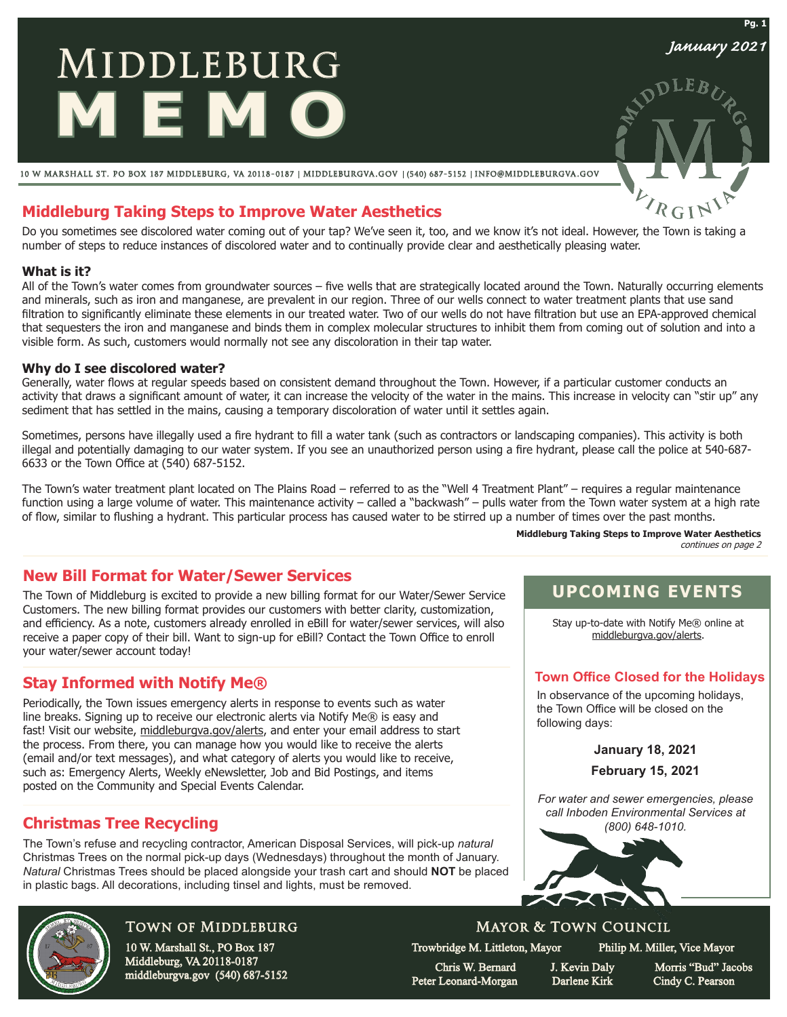# **MIDDLEBURG MEMO**

10 w marshall st. po box 187 middleburg, va 20118-0187 middleburgva.gov (540) 687-5152 info@middleburgva.gov

# **Middleburg Taking Steps to Improve Water Aesthetics**

Do you sometimes see discolored water coming out of your tap? We've seen it, too, and we know it's not ideal. However, the Town is taking a number of steps to reduce instances of discolored water and to continually provide clear and aesthetically pleasing water.

#### **What is it?**

All of the Town's water comes from groundwater sources – five wells that are strategically located around the Town. Naturally occurring elements and minerals, such as iron and manganese, are prevalent in our region. Three of our wells connect to water treatment plants that use sand filtration to significantly eliminate these elements in our treated water. Two of our wells do not have filtration but use an EPA-approved chemical that sequesters the iron and manganese and binds them in complex molecular structures to inhibit them from coming out of solution and into a visible form. As such, customers would normally not see any discoloration in their tap water.

#### **Why do I see discolored water?**

Generally, water flows at regular speeds based on consistent demand throughout the Town. However, if a particular customer conducts an activity that draws a significant amount of water, it can increase the velocity of the water in the mains. This increase in velocity can "stir up" any sediment that has settled in the mains, causing a temporary discoloration of water until it settles again.

Sometimes, persons have illegally used a fire hydrant to fill a water tank (such as contractors or landscaping companies). This activity is both illegal and potentially damaging to our water system. If you see an unauthorized person using a fire hydrant, please call the police at 540-687- 6633 or the Town Office at (540) 687-5152.

The Town's water treatment plant located on The Plains Road – referred to as the "Well 4 Treatment Plant" – requires a regular maintenance function using a large volume of water. This maintenance activity – called a "backwash" – pulls water from the Town water system at a high rate of flow, similar to flushing a hydrant. This particular process has caused water to be stirred up a number of times over the past months.

## **New Bill Format for Water/Sewer Services**

The Town of Middleburg is excited to provide a new billing format for our Water/Sewer Service Customers. The new billing format provides our customers with better clarity, customization, and efficiency. As a note, customers already enrolled in eBill for water/sewer services, will also receive a paper copy of their bill. Want to sign-up for eBill? Contact the Town Office to enroll your water/sewer account today!

# **Stay Informed with Notify Me®**

Periodically, the Town issues emergency alerts in response to events such as water line breaks. Signing up to receive our electronic alerts via Notify Me® is easy and fast! Visit our website, middleburgva.gov/alerts, and enter your email address to start the process. From there, you can manage how you would like to receive the alerts (email and/or text messages), and what category of alerts you would like to receive, such as: Emergency Alerts, Weekly eNewsletter, Job and Bid Postings, and items posted on the Community and Special Events Calendar.

# **Christmas Tree Recycling**

The Town's refuse and recycling contractor, American Disposal Services, will pick-up *natural*  Christmas Trees on the normal pick-up days (Wednesdays) throughout the month of January. *Natural* Christmas Trees should be placed alongside your trash cart and should **NOT** be placed in plastic bags. All decorations, including tinsel and lights, must be removed.



# Town of Middleburg

10 W. Marshall St., PO Box 187 Middleburg, VA 20118-0187 middleburgva.gov (540) 687-5152 **Middleburg Taking Steps to Improve Water Aesthetics** continues on page 2

# **UPCOMING EVENTS**

Stay up-to-date with Notify Me® online at middleburgva.gov/alerts.

## **Town Office Closed for the Holidays**

In observance of the upcoming holidays, the Town Office will be closed on the following days:

**January 18, 2021**

**February 15, 2021**

*For water and sewer emergencies, please call Inboden Environmental Services at (800) 648-1010.*



# Mayor & Town Council

Trowbridge M. Littleton, Mayor Philip M. Miller, Vice Mayor

 Chris W. Bernard J. Kevin Daly Morris "Bud" Jacobs Peter Leonard-Morgan Darlene Kirk Cindy C. Pearson